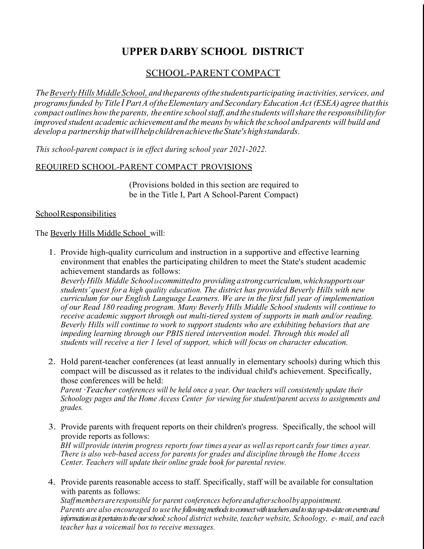# **UPPER DARBY SCHOOL DISTRICT**

# SCHOOL-PARENT COMPACT

*TheBeverlyHills Middle School, and theparents ofthe studentsparticipating inactivities,services, and programsfunded by Title l PartA oftheElementary and Secondary Education Act (ESEA) agree thatthis compact outlines howthe parents, the entire schoolstaff,and the studentswillshare the responsibilityfor improved student academic achievement and the means bywhich the school andparents will build and developa partnership thatwillhelpchildrenachieve theState'shighstandards.*

*This school-parent compact is in effect during school year 2021-2022.*

## REQUIRED SCHOOL-PARENT COMPACT PROVISIONS

(Provisions bolded in this section are required to be in the Title I, Part A School-Parent Compact)

#### SchoolResponsibilities

The Beverly Hills Middle School will:

1. Provide high-quality curriculum and instruction in a supportive and effective learning environment that enables the participating children to meet the State's student academic achievement standards as follows:

*BeverlyHills Middle Schooliscommittedto providing astrongcurriculum,whichsupportsour students'quest for a high quality education. The district has provided Beverly Hills with new curriculum for our English Language Learners. We are in the first full year of implementation of our Read 180 reading program. Many Beverly Hills Middle School students will continue to receive academic support through out multi-tiered system of supports in math and/or reading. Beverly Hills will continue to work to support students who are exhibiting behaviors that are impeding learning through our PBIS tiered intervention model. Through this model all students will receive a tier 1 level of support, which will focus on character education.* 

2. Hold parent-teacher conferences (at least annually in elementary schools) during which this compact will be discussed as it relates to the individual child's achievement. Specifically, those conferences will be held:

*Parent ·Teacher conferences will be held once a year. Our teachers will consistently update their Schoology pages and the Home Access Center for viewing for student/parent access to assignments and grades.*

3. Provide parents with frequent reports on their children's progress. Specifically, the school will provide reports as follows:

*BH will provide interim progress reports four times a year as well asreport cards four times a year. There is also web-based access for parents for grades and discipline through the Home Access Center. Teachers will update their online grade book for parental review.*

4. Provide parents reasonable access to staff. Specifically, staff will be available for consultation with parents as follows:

*Staffmembersare responsible for parent conferences before andafterschoolby appointment. Parents are also encouraged to use the following methods to connect with teachers and to stay up-to-date on events and information as it pertains to the our school: school district website, teacher website, Schoology, e- mail, and each teacher has a voicemail box to receive messages.*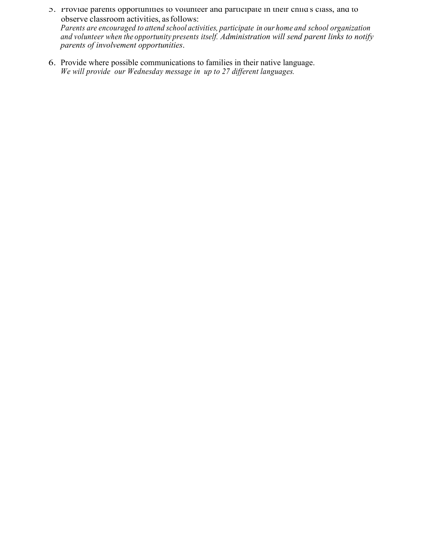- 5. Provide parents opportunities to volunteer and participate in their child's class, and to observe classroom activities, asfollows: *Parents are encouraged to attend school activities, participate in our home and school organization and volunteer when the opportunity presents itself. Administration will send parent links to notify parents of involvement opportunities*.
- 6. Provide where possible communications to families in their native language. *We will provide our Wednesday message in up to 27 different languages.*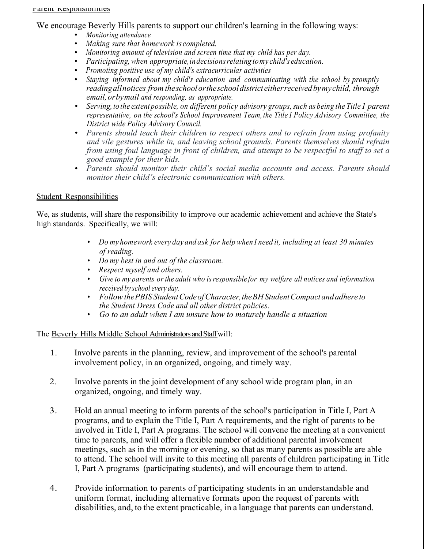We encourage Beverly Hills parents to support our children's learning in the following ways:

- *Monitoring attendance*
- *Making sure that homework is completed.*
- *Monitoring amount of television and screen time that my child has per day.*
- *Participating,when appropriate,indecisionsrelating tomy child's education.*
- *Promoting positive use of my child's extracurricular activities*
- *Staying informed about my child's education and communicating with the school by promptly readingallnotices from theschoolortheschooldistrict eitherreceivedbymychild, through email,orbymail and responding, as appropriate.*
- *Serving, to the extent possible, on different policy advisory groups,such as being the Title1 parent representative, on the school's School Improvement Team, the Title I Policy Advisory Committee, the District wide Policy Advisory Council.*
- *Parents should teach their children to respect others and to refrain from using profanity and vile gestures while in, and leaving school grounds. Parents themselves should refrain from using foul language in front of children, and attempt to be respectful to staff to set a good example for their kids.*
- *Parents should monitor their child's social media accounts and access. Parents should monitor their child's electronic communication with others.*

#### Student Responsibilities

We, as students, will share the responsibility to improve our academic achievement and achieve the State's high standards. Specifically, we will:

- *Do my homework every day and ask for help when I need it, including at least 30 minutes of reading.*
- *Do my best in and out of the classroom.*
- *Respect myself and others.*
- *Give to my parents or the adult who isresponsible for my welfare all notices and information received by school every day.*
- *FollowthePBIS StudentCodeofCharacter,theBHStudentCompactandadhere to the Student Dress Code and all other district policies.*
- *Go to an adult when I am unsure how to maturely handle a situation*

The Beverly Hills Middle School Administrators and Staff will:

- 1. Involve parents in the planning, review, and improvement of the school's parental involvement policy, in an organized, ongoing, and timely way.
- 2. Involve parents in the joint development of any school wide program plan, in an organized, ongoing, and timely way.
- 3. Hold an annual meeting to inform parents of the school's participation in Title I, Part A programs, and to explain the Title I, Part A requirements, and the right of parents to be involved in Title I, Part A programs. The school will convene the meeting at a convenient time to parents, and will offer a flexible number of additional parental involvement meetings, such as in the morning or evening, so that as many parents as possible are able to attend. The school will invite to this meeting all parents of children participating in Title I, Part A programs (participating students), and will encourage them to attend.
- 4. Provide information to parents of participating students in an understandable and uniform format, including alternative formats upon the request of parents with disabilities, and, to the extent practicable, in a language that parents can understand.